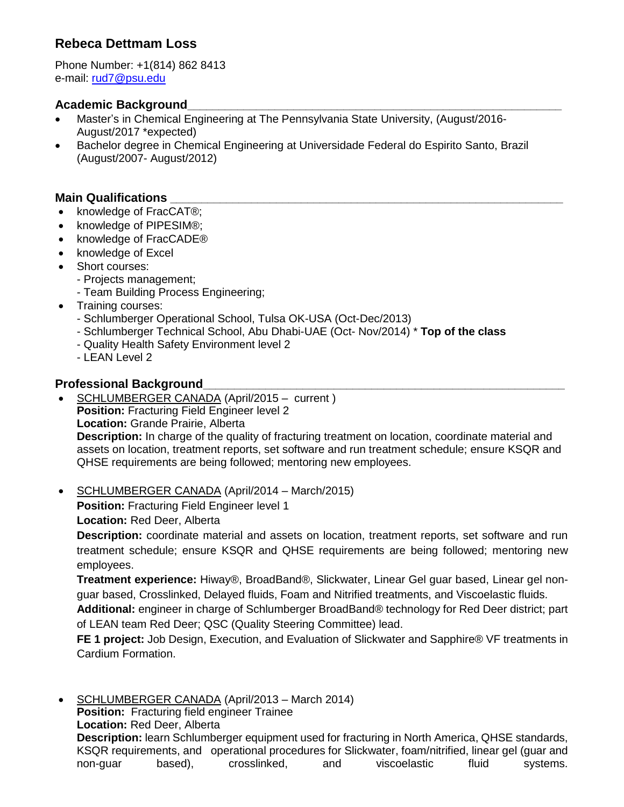# **Rebeca Dettmam Loss**

Phone Number: +1(814) 862 8413 e-mail: [rud7@psu.edu](mailto:rud7@psu.edu)

## **Academic Background\_\_\_\_\_\_\_\_\_\_\_\_\_\_\_\_\_\_\_\_\_\_\_\_\_\_\_\_\_\_\_\_\_\_\_\_\_\_\_\_\_\_\_\_\_\_\_\_\_\_\_\_\_\_\_\_\_\_\_\_**

- Master's in Chemical Engineering at The Pennsylvania State University, (August/2016- August/2017 \*expected)
- Bachelor degree in Chemical Engineering at Universidade Federal do Espirito Santo, Brazil (August/2007- August/2012)

## **Main Qualifications**

- knowledge of FracCAT®;
- knowledge of PIPESIM®:
- knowledge of FracCADE<sup>®</sup>
- knowledge of Excel
- Short courses:
	- Projects management;
	- Team Building Process Engineering;
- Training courses:
	- Schlumberger Operational School, Tulsa OK-USA (Oct-Dec/2013)
	- Schlumberger Technical School, Abu Dhabi-UAE (Oct- Nov/2014) \* **Top of the class**
	- Quality Health Safety Environment level 2
	- LEAN Level 2

## **Professional Background\_\_\_\_\_\_\_\_\_\_\_\_\_\_\_\_\_\_\_\_\_\_\_\_\_\_\_\_\_\_\_\_\_\_\_\_\_\_\_\_\_\_\_\_\_\_\_\_\_\_\_\_\_\_\_\_\_\_**

- SCHLUMBERGER CANADA (April/2015 current ) **Position:** Fracturing Field Engineer level 2 **Location:** Grande Prairie, Alberta **Description:** In charge of the quality of fracturing treatment on location, coordinate material and assets on location, treatment reports, set software and run treatment schedule; ensure KSQR and QHSE requirements are being followed; mentoring new employees.
- SCHLUMBERGER CANADA (April/2014 March/2015)

**Position:** Fracturing Field Engineer level 1

**Location:** Red Deer, Alberta

**Description:** coordinate material and assets on location, treatment reports, set software and run treatment schedule; ensure KSQR and QHSE requirements are being followed; mentoring new employees.

**Treatment experience:** Hiway®, BroadBand®, Slickwater, Linear Gel guar based, Linear gel nonguar based, Crosslinked, Delayed fluids, Foam and Nitrified treatments, and Viscoelastic fluids.

**Additional:** engineer in charge of Schlumberger BroadBand® technology for Red Deer district; part of LEAN team Red Deer; QSC (Quality Steering Committee) lead.

**FE 1 project:** Job Design, Execution, and Evaluation of Slickwater and Sapphire® VF treatments in Cardium Formation.

 SCHLUMBERGER CANADA (April/2013 – March 2014) **Position:** Fracturing field engineer Trainee **Location:** Red Deer, Alberta **Description:** learn Schlumberger equipment used for fracturing in North America, QHSE standards, KSQR requirements, and operational procedures for Slickwater, foam/nitrified, linear gel (guar and non-guar based), crosslinked, and viscoelastic fluid systems.